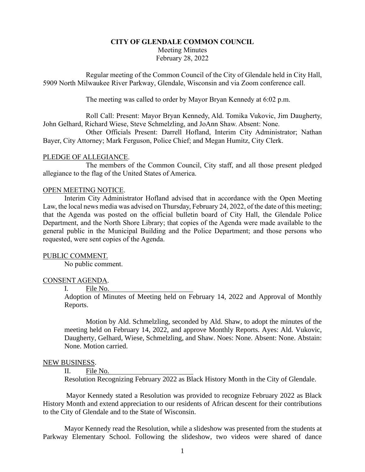# **CITY OF GLENDALE COMMON COUNCIL** Meeting Minutes February 28, 2022

Regular meeting of the Common Council of the City of Glendale held in City Hall, 5909 North Milwaukee River Parkway, Glendale, Wisconsin and via Zoom conference call.

The meeting was called to order by Mayor Bryan Kennedy at 6:02 p.m.

Roll Call: Present: Mayor Bryan Kennedy, Ald. Tomika Vukovic, Jim Daugherty, John Gelhard, Richard Wiese, Steve Schmelzling, and JoAnn Shaw. Absent: None.

Other Officials Present: Darrell Hofland, Interim City Administrator; Nathan Bayer, City Attorney; Mark Ferguson, Police Chief; and Megan Humitz, City Clerk.

### PLEDGE OF ALLEGIANCE.

The members of the Common Council, City staff, and all those present pledged allegiance to the flag of the United States of America.

#### OPEN MEETING NOTICE.

Interim City Administrator Hofland advised that in accordance with the Open Meeting Law, the local news media was advised on Thursday, February 24, 2022, of the date of this meeting; that the Agenda was posted on the official bulletin board of City Hall, the Glendale Police Department, and the North Shore Library; that copies of the Agenda were made available to the general public in the Municipal Building and the Police Department; and those persons who requested, were sent copies of the Agenda.

### PUBLIC COMMENT.

No public comment.

### CONSENT AGENDA.

I. File No.

Adoption of Minutes of Meeting held on February 14, 2022 and Approval of Monthly Reports.

Motion by Ald. Schmelzling, seconded by Ald. Shaw, to adopt the minutes of the meeting held on February 14, 2022, and approve Monthly Reports. Ayes: Ald. Vukovic, Daugherty, Gelhard, Wiese, Schmelzling, and Shaw. Noes: None. Absent: None. Abstain: None. Motion carried.

#### NEW BUSINESS.

II. File No.

Resolution Recognizing February 2022 as Black History Month in the City of Glendale.

Mayor Kennedy stated a Resolution was provided to recognize February 2022 as Black History Month and extend appreciation to our residents of African descent for their contributions to the City of Glendale and to the State of Wisconsin.

Mayor Kennedy read the Resolution, while a slideshow was presented from the students at Parkway Elementary School. Following the slideshow, two videos were shared of dance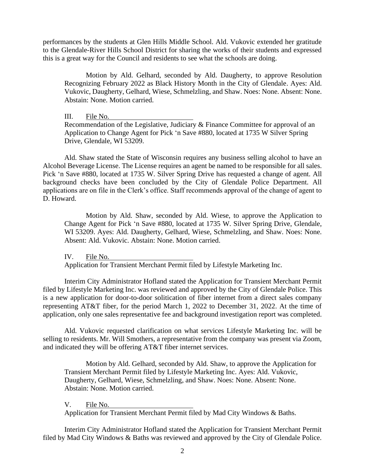performances by the students at Glen Hills Middle School. Ald. Vukovic extended her gratitude to the Glendale-River Hills School District for sharing the works of their students and expressed this is a great way for the Council and residents to see what the schools are doing.

Motion by Ald. Gelhard, seconded by Ald. Daugherty, to approve Resolution Recognizing February 2022 as Black History Month in the City of Glendale. Ayes: Ald. Vukovic, Daugherty, Gelhard, Wiese, Schmelzling, and Shaw. Noes: None. Absent: None. Abstain: None. Motion carried.

III. File No. Recommendation of the Legislative, Judiciary & Finance Committee for approval of an Application to Change Agent for Pick 'n Save #880, located at 1735 W Silver Spring Drive, Glendale, WI 53209.

Ald. Shaw stated the State of Wisconsin requires any business selling alcohol to have an Alcohol Beverage License. The License requires an agent be named to be responsible for all sales. Pick 'n Save #880, located at 1735 W. Silver Spring Drive has requested a change of agent. All background checks have been concluded by the City of Glendale Police Department. All applications are on file in the Clerk's office. Staff recommends approval of the change of agent to D. Howard.

Motion by Ald. Shaw, seconded by Ald. Wiese, to approve the Application to Change Agent for Pick 'n Save #880, located at 1735 W. Silver Spring Drive, Glendale, WI 53209. Ayes: Ald. Daugherty, Gelhard, Wiese, Schmelzling, and Shaw. Noes: None. Absent: Ald. Vukovic. Abstain: None. Motion carried.

IV. File No.

Application for Transient Merchant Permit filed by Lifestyle Marketing Inc.

Interim City Administrator Hofland stated the Application for Transient Merchant Permit filed by Lifestyle Marketing Inc. was reviewed and approved by the City of Glendale Police. This is a new application for door-to-door solitication of fiber internet from a direct sales company representing AT&T fiber, for the period March 1, 2022 to December 31, 2022. At the time of application, only one sales representative fee and background investigation report was completed.

Ald. Vukovic requested clarification on what services Lifestyle Marketing Inc. will be selling to residents. Mr. Will Smothers, a representative from the company was present via Zoom, and indicated they will be offering AT&T fiber internet services.

Motion by Ald. Gelhard, seconded by Ald. Shaw, to approve the Application for Transient Merchant Permit filed by Lifestyle Marketing Inc. Ayes: Ald. Vukovic, Daugherty, Gelhard, Wiese, Schmelzling, and Shaw. Noes: None. Absent: None. Abstain: None. Motion carried.

V. File No. Application for Transient Merchant Permit filed by Mad City Windows & Baths.

Interim City Administrator Hofland stated the Application for Transient Merchant Permit filed by Mad City Windows & Baths was reviewed and approved by the City of Glendale Police.